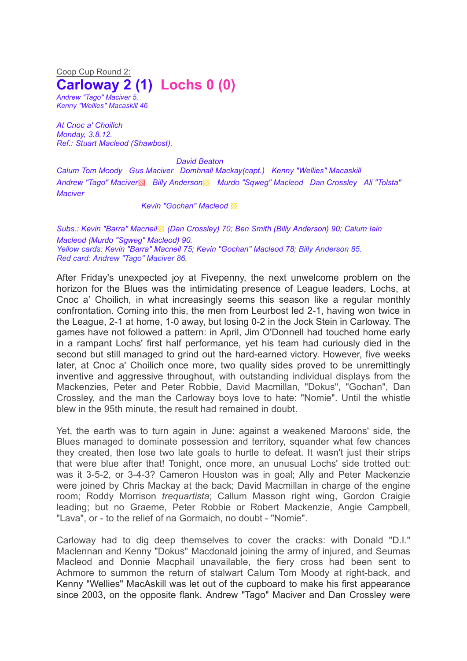Coop Cup Round 2: **Carloway 2 (1) Lochs 0 (0)** *Andrew "Tago" Maciver 5, Kenny "Wellies" Macaskill 46*

*At Cnoc a' Choilich Monday, 3.8.12. Ref.: Stuart Macleod (Shawbost).*

*David Beaton*

*Calum Tom Moody Gus Maciver Domhnall Mackay(capt.) Kenny "Wellies" Macaskill Andrew "Tago" Maciver*▩ *Billy Anderson*▩ *Murdo "Sqweg" Macleod Dan Crossley Ali "Tolsta" Maciver*

*Kevin "Gochan" Macleod* ▩

*Subs.: Kevin "Barra" Macneil*▩ *(Dan Crossley) 70; Ben Smith (Billy Anderson) 90; Calum Iain Macleod (Murdo "Sgweg" Macleod) 90. Yellow cards: Kevin "Barra" Macneil 75; Kevin "Gochan" Macleod 78; Billy Anderson 85. Red card: Andrew "Tago" Maciver 86.*

After Friday's unexpected joy at Fivepenny, the next unwelcome problem on the horizon for the Blues was the intimidating presence of League leaders, Lochs, at Cnoc a' Choilich, in what increasingly seems this season like a regular monthly confrontation. Coming into this, the men from Leurbost led 2-1, having won twice in the League, 2-1 at home, 1-0 away, but losing 0-2 in the Jock Stein in Carloway. The games have not followed a pattern: in April, Jim O'Donnell had touched home early in a rampant Lochs' first half performance, yet his team had curiously died in the second but still managed to grind out the hard-earned victory. However, five weeks later, at Cnoc a' Choilich once more, two quality sides proved to be unremittingly inventive and aggressive throughout, with outstanding individual displays from the Mackenzies, Peter and Peter Robbie, David Macmillan, "Dokus", "Gochan", Dan Crossley, and the man the Carloway boys love to hate: "Nomie". Until the whistle blew in the 95th minute, the result had remained in doubt.

Yet, the earth was to turn again in June: against a weakened Maroons' side, the Blues managed to dominate possession and territory, squander what few chances they created, then lose two late goals to hurtle to defeat. It wasn't just their strips that were blue after that! Tonight, once more, an unusual Lochs' side trotted out: was it 3-5-2, or 3-4-3? Cameron Houston was in goal; Ally and Peter Mackenzie were joined by Chris Mackay at the back; David Macmillan in charge of the engine room; Roddy Morrison *trequartista*; Callum Masson right wing, Gordon Craigie leading; but no Graeme, Peter Robbie or Robert Mackenzie, Angie Campbell, "Lava", or - to the relief of na Gormaich, no doubt - "Nomie".

Carloway had to dig deep themselves to cover the cracks: with Donald "D.I." Maclennan and Kenny "Dokus" Macdonald joining the army of injured, and Seumas Macleod and Donnie Macphail unavailable, the fiery cross had been sent to Achmore to summon the return of stalwart Calum Tom Moody at right-back, and Kenny "Wellies" MacAskill was let out of the cupboard to make his first appearance since 2003, on the opposite flank. Andrew "Tago" Maciver and Dan Crossley were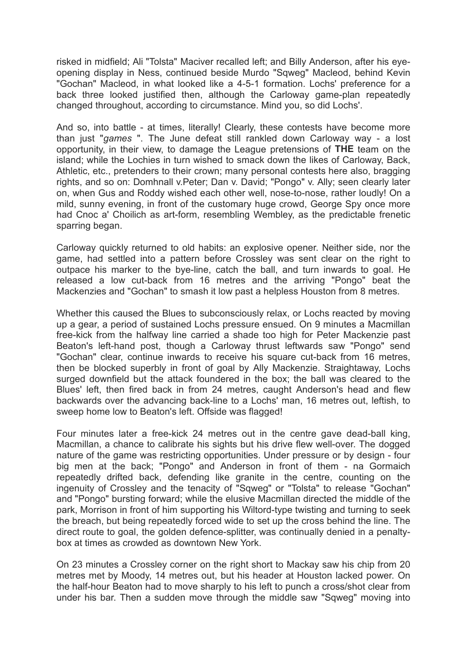risked in midfield; Ali "Tolsta" Maciver recalled left; and Billy Anderson, after his eyeopening display in Ness, continued beside Murdo "Sqweg" Macleod, behind Kevin "Gochan" Macleod, in what looked like a 4-5-1 formation. Lochs' preference for a back three looked justified then, although the Carloway game-plan repeatedly changed throughout, according to circumstance. Mind you, so did Lochs'.

And so, into battle - at times, literally! Clearly, these contests have become more than just "*games* ". The June defeat still rankled down Carloway way - a lost opportunity, in their view, to damage the League pretensions of **THE** team on the island; while the Lochies in turn wished to smack down the likes of Carloway, Back, Athletic, etc., pretenders to their crown; many personal contests here also, bragging rights, and so on: Domhnall v.Peter; Dan v. David; "Pongo" v. Ally; seen clearly later on, when Gus and Roddy wished each other well, nose-to-nose, rather loudly! On a mild, sunny evening, in front of the customary huge crowd, George Spy once more had Cnoc a' Choilich as art-form, resembling Wembley, as the predictable frenetic sparring began.

Carloway quickly returned to old habits: an explosive opener. Neither side, nor the game, had settled into a pattern before Crossley was sent clear on the right to outpace his marker to the bye-line, catch the ball, and turn inwards to goal. He released a low cut-back from 16 metres and the arriving "Pongo" beat the Mackenzies and "Gochan" to smash it low past a helpless Houston from 8 metres.

Whether this caused the Blues to subconsciously relax, or Lochs reacted by moving up a gear, a period of sustained Lochs pressure ensued. On 9 minutes a Macmillan free-kick from the halfway line carried a shade too high for Peter Mackenzie past Beaton's left-hand post, though a Carloway thrust leftwards saw "Pongo" send "Gochan" clear, continue inwards to receive his square cut-back from 16 metres, then be blocked superbly in front of goal by Ally Mackenzie. Straightaway, Lochs surged downfield but the attack foundered in the box; the ball was cleared to the Blues' left, then fired back in from 24 metres, caught Anderson's head and flew backwards over the advancing back-line to a Lochs' man, 16 metres out, leftish, to sweep home low to Beaton's left. Offside was flagged!

Four minutes later a free-kick 24 metres out in the centre gave dead-ball king, Macmillan, a chance to calibrate his sights but his drive flew well-over. The dogged nature of the game was restricting opportunities. Under pressure or by design - four big men at the back; "Pongo" and Anderson in front of them - na Gormaich repeatedly drifted back, defending like granite in the centre, counting on the ingenuity of Crossley and the tenacity of "Sqweg" or "Tolsta" to release "Gochan" and "Pongo" bursting forward; while the elusive Macmillan directed the middle of the park, Morrison in front of him supporting his Wiltord-type twisting and turning to seek the breach, but being repeatedly forced wide to set up the cross behind the line. The direct route to goal, the golden defence-splitter, was continually denied in a penaltybox at times as crowded as downtown New York.

On 23 minutes a Crossley corner on the right short to Mackay saw his chip from 20 metres met by Moody, 14 metres out, but his header at Houston lacked power. On the half-hour Beaton had to move sharply to his left to punch a cross/shot clear from under his bar. Then a sudden move through the middle saw "Sqweg" moving into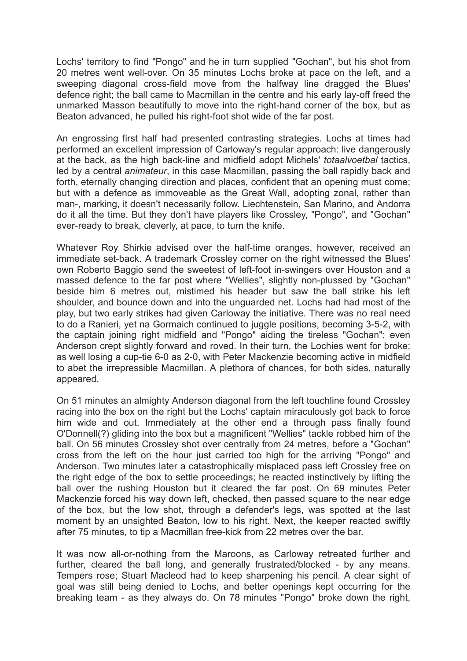Lochs' territory to find "Pongo" and he in turn supplied "Gochan", but his shot from 20 metres went well-over. On 35 minutes Lochs broke at pace on the left, and a sweeping diagonal cross-field move from the halfway line dragged the Blues' defence right; the ball came to Macmillan in the centre and his early lay-off freed the unmarked Masson beautifully to move into the right-hand corner of the box, but as Beaton advanced, he pulled his right-foot shot wide of the far post.

An engrossing first half had presented contrasting strategies. Lochs at times had performed an excellent impression of Carloway's regular approach: live dangerously at the back, as the high back-line and midfield adopt Michels' *totaalvoetbal* tactics, led by a central *animateur*, in this case Macmillan, passing the ball rapidly back and forth, eternally changing direction and places, confident that an opening must come; but with a defence as immoveable as the Great Wall, adopting zonal, rather than man-, marking, it doesn't necessarily follow. Liechtenstein, San Marino, and Andorra do it all the time. But they don't have players like Crossley, "Pongo", and "Gochan" ever-ready to break, cleverly, at pace, to turn the knife.

Whatever Roy Shirkie advised over the half-time oranges, however, received an immediate set-back. A trademark Crossley corner on the right witnessed the Blues' own Roberto Baggio send the sweetest of left-foot in-swingers over Houston and a massed defence to the far post where "Wellies", slightly non-plussed by "Gochan" beside him 6 metres out, mistimed his header but saw the ball strike his left shoulder, and bounce down and into the unguarded net. Lochs had had most of the play, but two early strikes had given Carloway the initiative. There was no real need to do a Ranieri, yet na Gormaich continued to juggle positions, becoming 3-5-2, with the captain joining right midfield and "Pongo" aiding the tireless "Gochan"; even Anderson crept slightly forward and roved. In their turn, the Lochies went for broke; as well losing a cup-tie 6-0 as 2-0, with Peter Mackenzie becoming active in midfield to abet the irrepressible Macmillan. A plethora of chances, for both sides, naturally appeared.

On 51 minutes an almighty Anderson diagonal from the left touchline found Crossley racing into the box on the right but the Lochs' captain miraculously got back to force him wide and out. Immediately at the other end a through pass finally found O'Donnell(?) gliding into the box but a magnificent "Wellies" tackle robbed him of the ball. On 56 minutes Crossley shot over centrally from 24 metres, before a "Gochan" cross from the left on the hour just carried too high for the arriving "Pongo" and Anderson. Two minutes later a catastrophically misplaced pass left Crossley free on the right edge of the box to settle proceedings; he reacted instinctively by lifting the ball over the rushing Houston but it cleared the far post. On 69 minutes Peter Mackenzie forced his way down left, checked, then passed square to the near edge of the box, but the low shot, through a defender's legs, was spotted at the last moment by an unsighted Beaton, low to his right. Next, the keeper reacted swiftly after 75 minutes, to tip a Macmillan free-kick from 22 metres over the bar.

It was now all-or-nothing from the Maroons, as Carloway retreated further and further, cleared the ball long, and generally frustrated/blocked - by any means. Tempers rose; Stuart Macleod had to keep sharpening his pencil. A clear sight of goal was still being denied to Lochs, and better openings kept occurring for the breaking team - as they always do. On 78 minutes "Pongo" broke down the right,